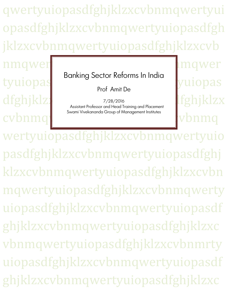qwertyuiopasdfghjklzxcvbnmqwertyui opasdfghjklzxcvbnmqwertyuiopasdfgh jklzxcvbnmqwertyuiopasdfghjklzxcvb

tyuiopas cvbnm

Banking Sector Reforms In India

Prof Amit De

dfghjklz)<br>Assistant Professor and Head Training and Placement | tghjklzx 7/28/2016 Swami Vivekananda Group of Management Institutes

nqwertyuiopastalangwerthyuiopastalangwerthyuiopastalangwerthyuiopastalangwerthyuiopastalangwerthyuiopastalangw

wertyuiopasdfghjklzxcvbnmqwertyuio pasdfghjklzxcvbnmqwertyuiopasdfghj klzxcvbnmqwertyuiopasdfghjklzxcvbn mqwertyuiopasdfghjklzxcvbnmqwerty uiopasdfghjklzxcvbnmqwertyuiopasdf ghjklzxcvbnmqwertyuiopasdfghjklzxc vbnmqwertyuiopasdfghjklzxcvbnmrty uiopasdfghjklzxcvbnmqwertyuiopasdf ghjklzxcvbnmqwertyuiopasdfghjklzxc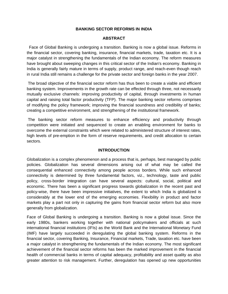# **BANKING SECTOR REFORMS IN INDIA**

#### **ABSTRACT**

Face of Global Banking is undergoing a transition. Banking is now a global issue. Reforms in the financial sector, covering banking, insurance, financial markets, trade, taxation etc. It is a major catalyst in strengthening the fundamentals of the Indian economy. The reform measures have brought about sweeping changes in this critical sector of the Indian's economy. Banking in India is generally fairly mature in terms of supply, product range, and reach-even though reach in rural India still remains a challenge for the private sector and foreign banks in the year 2007.

The broad objective of the financial sector reform has thus been to create a viable and efficient banking system. Improvements in the growth rate can be effected through three, not necessarily mutually exclusive channels: improving productivity of capital, through investments in human capital and raising total factor productivity (TFP). The major banking sector reforms comprises of modifying the policy framework; improving the financial soundness and credibility of banks; creating a competitive environment, and strengthening of the institutional framework.

The banking sector reform measures to enhance efficiency and productivity through competition were initiated and sequenced to create an enabling environment for banks to overcome the external constraints which were related to administered structure of interest rates, high levels of pre-emption in the form of reserve requirements, and credit allocation to certain sectors.

#### **INTRODUCTION**

Globalization is a complex phenomenon and a process that is, perhaps, best managed by public policies. Globalization has several dimensions arising out of what may be called the consequential enhanced connectivity among people across borders. While such enhanced connectivity is determined by three fundamental factors, viz., technology, taste and public policy, cross-border integration can have several aspects: cultural, social, political and economic. There has been a significant progress towards globalization in the recent past and policy-wise, there have been impressive initiatives, the extent to which India is globalized is considerably at the lower end of the emerging economies. Flexibility in product and factor markets play a part not only in capturing the gains from financial sector reform but also more generally from globalization.

Face of Global Banking is undergoing a transition. Banking is now a global issue. Since the early 1980s, bankers working together with national policymakers and officials at such international financial institutions (IFIs) as the World Bank and the International Monetary Fund (IMF) have largely succeeded in deregulating the global banking system. Reforms in the financial sector, covering Banking, Insurance, Financial markets, Trade, taxation etc. have been a major catalyst in strengthening the fundamentals of the Indian economy. The most significant achievement of the financial sector reforms has been the marked improvement in the financial health of commercial banks in terms of capital adequacy, profitability and asset quality as also greater attention to risk management. Further, deregulation has opened up new opportunities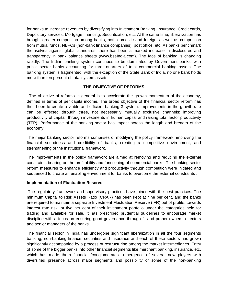for banks to increase revenues by diversifying into Investment Banking, Insurance, Credit cards, Depository services, Mortgage financing, Securitization, etc. At the same time, liberalization has brought greater competition among banks, both domestic and foreign, as well as competition from mutual funds, NBFCs (non-bank finance companies), post office, etc. As banks benchmark themselves against global standards, there has been a marked increase in disclosures and transparency in bank balance sheets (www.bseIndia.com). The face of banking is changing rapidly. The Indian banking system continues to be dominated by Government banks, with public sector banks accounting for three-quarters of total commercial banking assets. The banking system is fragmented; with the exception of the State Bank of India, no one bank holds more than ten percent of total system assets.

# **THE OBJECTIVE OF REFORMS**

The objective of reforms in general is to accelerate the growth momentum of the economy, defined in terms of per capita income. The broad objective of the financial sector reform has thus been to create a viable and efficient banking 3 system. Improvements in the growth rate can be effected through three, not necessarily mutually exclusive channels: improving productivity of capital, through investments in human capital and raising total factor productivity (TFP). Performance of the banking sector has impact across the length and breadth of the economy.

The major banking sector reforms comprises of modifying the policy framework; improving the financial soundness and credibility of banks, creating a competitive environment, and strengthening of the institutional framework.

The improvements in the policy framework are aimed at removing and reducing the external constraints bearing on the profitability and functioning of commercial banks. The banking sector reform measures to enhance efficiency and productivity through competition were initiated and sequenced to create an enabling environment for banks to overcome the external constraints .

# **Implementation of Fluctuation Reserve:**

The regulatory framework and supervisory practices have joined with the best practices. The minimum Capital to Risk Assets Ratio (CRAR) has been kept at nine per cent, and the banks are required to maintain a separate Investment Fluctuation Reserve (IFR) out of profits, towards interest rate risk, at five per cent of their investment portfolio under the categories held for trading and available for sale. It has prescribed prudential guidelines to encourage market discipline with a focus on ensuring good governance through fit and proper owners, directors and senior managers of the banks.

The financial sector in India has undergone significant liberalization in all the four segments banking, non-banking finance, securities and insurance and each of these sectors has grown significantly accompanied by a process of restructuring among the market intermediaries. Entry of some of the bigger banks into other financial segments like merchant banking, insurance, etc. which has made them financial 'conglomerates'; emergence of several new players with diversified presence across major segments and possibility of some of the non-banking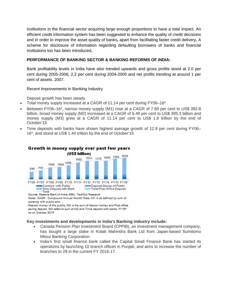institutions in the financial sector acquiring large enough proportions to have a total impact. An efficient credit information system has been suggested to enhance the quality of credit decisions and in order to improve the asset quality of banks**,** apart from facilitating faster credit delivery**.** A scheme for disclosure of information regarding defaulting borrowers of banks and financial institutions too has been introduced**.** 

# **PERFORMANCE OF BANKING SECTOR & BANKING REFORMS OF INDIA:**

Bank profitability levels in India have also trended upwards and gross profits stood at 2.0 per cent during 2005-2006, 2.2 per cent during 2004-2005 and net profits trending at around 1 per cent of assets. 2007.

Recent Improvements in Banking Industry

Deposit growth has been steady

- Total money supply increased at a CAGR of 11.14 per cent during FY06–16\*
- Between FY06–16\*, narrow money supply (M1) rose at a CAGR of 7.69 per cent to US\$ 392.8 billion, broad money supply (M2) increased at a CAGR of 6.49 per cent to US\$ 395.3 billion and money supply (M3) grew at a CAGR of 11.14 per cent to US\$ 1.8 trillion by the end of October'15
- Time deposits with banks have shown highest average growth of 12.9 per cent during FY06– 16\*, and stood at US\$ 1.44 trillion by the end of October'15



# Growth in money supply over past few years

Notes: CAGR - Compound Annual Growth Rate, M1 is as defined by sum of currency with public and Deposit money of the public, M2 is the sum of Narrow money and Post office saving deposit, M3 refers to sum of M2 and Time deposit with banks, FY16\*:

As on October 2015

# **Key investments and developments in India's Banking industry include:**

- Canada Pension Plan Investment Board (CPPIB), an investment management company, has bought a large stake in Kotak Mahindra Bank Ltd from Japan-based Sumitomo Mitsui Banking Corporation.
- India's first small finance bank called the Capital Small Finance Bank has started its operations by launching 10 branch offices in Punjab, and aims to increase the number of branches to 29 in the current FY 2016-17.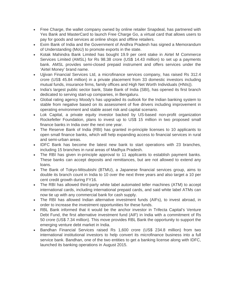- Free Charge, the wallet company owned by online retailer Snapdeal, has partnered with Yes Bank and MasterCard to launch Free Charge Go, a virtual card that allows users to pay for goods and services at online shops and offline retailers.
- Exim Bank of India and the Government of Andhra Pradesh has signed a Memorandum of Understanding (MoU) to promote exports in the state.
- Kotak Mahindra Bank Limited has bought 19.9 per cent stake in Airtel M Commerce Services Limited (AMSL) for Rs 98.38 crore (US\$ 14.43 million) to set up a payments bank. AMSL provides semi-closed prepaid instrument and offers services under the 'Airtel Money' brand name.
- Ujjivan Financial Services Ltd, a microfinance services company, has raised Rs 312.4 crore (US\$ 45.84 million) in a private placement from 33 domestic investors including mutual funds, insurance firms, family offices and High Net Worth Individuals (HNIs)).
- India's largest public sector bank, State Bank of India (SBI), has opened its first branch dedicated to serving start-up companies, in Bengaluru.
- Global rating agency Moody's has upgraded its outlook for the Indian banking system to stable from negative based on its assessment of five drivers including improvement in operating environment and stable asset risk and capital scenario.
- Lok Capital, a private equity investor backed by US-based non-profit organization Rockefeller Foundation, plans to invest up to US\$ 15 million in two proposed small finance banks in India over the next one year.
- The Reserve Bank of India (RBI) has granted in-principle licenses to 10 applicants to open small finance banks, which will help expanding access to financial services in rural and semi-urban areas.
- IDFC Bank has become the latest new bank to start operations with 23 branches, including 15 branches in rural areas of Madhya Pradesh.
- The RBI has given in-principle approval to 11 applicants to establish payment banks. These banks can accept deposits and remittances, but are not allowed to extend any loans.
- The Bank of Tokyo-Mitsubishi (BTMU), a Japanese financial services group, aims to double its branch count in India to 10 over the next three years and also target a 10 per cent credit growth during FY16.
- The RBI has allowed third-party white label automated teller machines (ATM) to accept international cards, including international prepaid cards, and said white label ATMs can now tie up with any commercial bank for cash supply.
- The RBI has allowed Indian alternative investment funds (AIFs), to invest abroad, in order to increase the investment opportunities for these funds.
- RBL Bank informed that it would be the anchor investor in Trifecta Capital's Venture Debt Fund, the first alternative investment fund (AIF) in India with a commitment of Rs 50 crore (US\$ 7.34 million). This move provides RBL Bank the opportunity to support the emerging venture debt market in India.
- Bandhan Financial Services raised Rs 1,600 crore (US\$ 234.8 million) from two international institutional investors to help convert its microfinance business into a full service bank. Bandhan, one of the two entities to get a banking license along with IDFC, launched its banking operations in August 2015.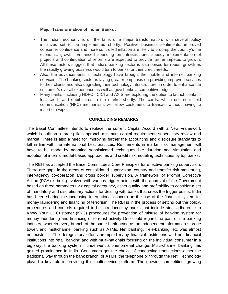# **Major Transformation of Indian Banks :**

- The Indian economy is on the brink of a major transformation, with several policy initiatives set to be implemented shortly. Positive business sentiments, improved consumer confidence and more controlled inflation are likely to prop-up the country's the economic growth. Enhanced spending on infrastructure, speedy implementation of projects and continuation of reforms are expected to provide further impetus to growth. All these factors suggest that India's banking sector is also poised for robust growth as the rapidly growing business would turn to banks for their credit needs.
- Also, the advancements in technology have brought the mobile and internet banking services . The banking sector is laying greater emphasis on providing improved services to their clients and also upgrading their technology infrastructure, in order to enhance the customer's overall experience as well as give banks a competitive edge.
- Many banks, including HDFC, ICICI and AXIS are exploring the option to launch contactless credit and debit cards in the market shortly. The cards, which use near field communication (NFC) mechanism, will allow customers to transact without having to insert or swipe.

# **CONCLUDING REMARKS**

The Basel Committee intends to replace the current Capital Accord with a New Framework which is built on a three-pillar approach minimum capital requirement**,** supervisory review and market. There is also a need for improving further the accounting and disclosure standards to fall in line with the international best practices**.** Refinements in market risk management will have to be made by adopting sophisticated techniques like duration and simulation and adoption of internal model-based approaches and credit risk modeling techniques by top banks**.**

The RBI has accepted the Basel Committee's Core Principles for effective banking supervision. There are gaps in the areas of consolidated supervision, country and transfer risk monitoring, inter-agency co-operation and cross border supervision. A framework of Prompt Corrective Action (PCA) is being evolved with various trigger points with the approval of the Government based on three parameters viz capital adequacy, asset quality and profitability to consider a set of mandatory and discretionary actions for dealing with banks that cross the trigger points. India has been sharing the increasing international concern on the use of the financial system for money laundering and financing of terrorism. The RBI is in the process of setting out the policy, procedures and controls required to be introduced by banks that include strict adherence to Know Your 11 Customer (KYC) procedures for prevention of misuse of banking system for money laundering and financing of terrorist activity One could regard the past of the banking industry, wherein every branch of the same bank acted as an independent information storage tower, and multichannel banking such as ATMs, Net banking**,** Tele-banking, etc was almost nonexistent. The deregulatory efforts prompted many financial institutions and non-financial institutions into retail banking and with multi-nationals focusing on the individual consumer in a big way, the banking system if underwent a phenomenal change. Multi-channel banking has gained prominence in India. Consumers got the choice of conducting transactions either the traditional way through the bank branch, or ATMs, the telephone or through the Net. Technology played a key role in providing this multi-service platform. The growing competition, growing